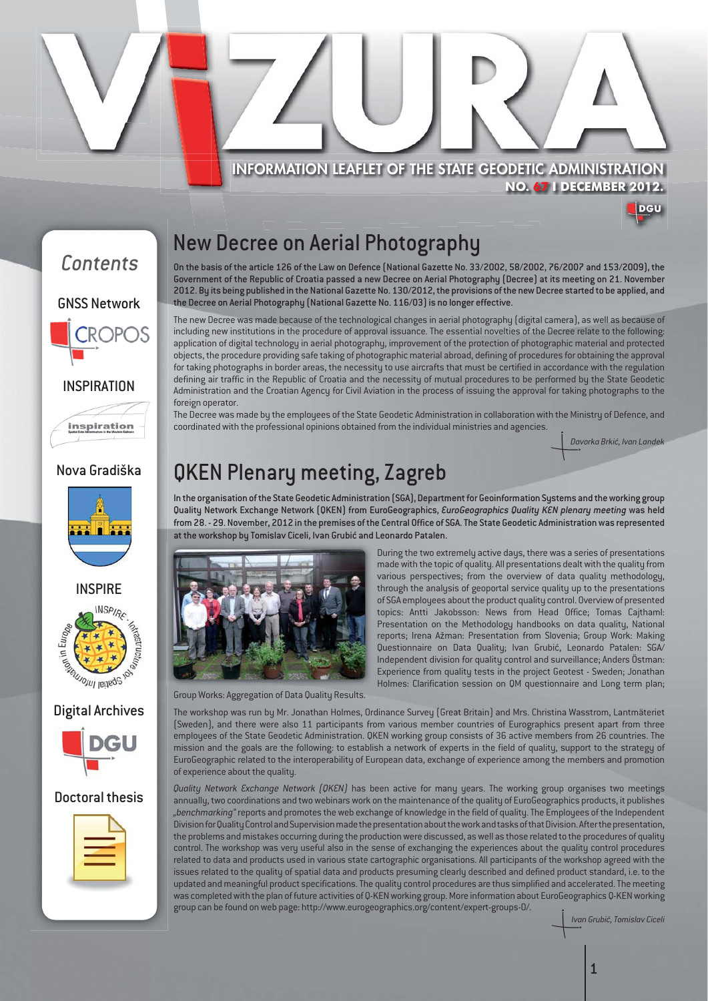

**NO. 67 I DECEMBER 2012.**



### New Decree on Aerial Photography

On the basis of the article 126 of the Law on Defence (National Gazette No. 33/2002, 58/2002, 76/2007 and 153/2009), the Government of the Republic of Croatia passed a new Decree on Aerial Photography (Decree) at its meeting on 21. November 2012. By its being published in the National Gazette No. 130/2012, the provisions of the new Decree started to be applied, and the Decree on Aerial Photography (National Gazette No. 116/03) is no longer effective.

The new Decree was made because of the technological changes in aerial photography (digital camera), as well as because of including new institutions in the procedure of approval issuance. The essential novelties of the Decree relate to the following: application of digital technology in aerial photography, improvement of the protection of photographic material and protected objects, the procedure providing safe taking of photographic material abroad, defining of procedures for obtaining the approval for taking photographs in border areas, the necessity to use aircrafts that must be certified in accordance with the regulation defining air traffic in the Republic of Croatia and the necessity of mutual procedures to be performed by the State Geodetic Administration and the Croatian Agency for Civil Aviation in the process of issuing the approval for taking photographs to the foreign operator.

The Decree was made by the employees of the State Geodetic Administration in collaboration with the Ministry of Defence, and coordinated with the professional opinions obtained from the individual ministries and agencies.

*Davorka Brkić, Ivan Landek* 

# QKEN Plenary meeting, Zagreb

In the organisation of the State Geodetic Administration (SGA), Department for Geoinformation Systems and the working group Quality Network Exchange Network (QKEN) from EuroGeographics, *EuroGeographics Quality KEN plenary meeting* was held from 28. - 29. November, 2012 in the premises of the Central Office of SGA. The State Geodetic Administration was represented at the workshop by Tomislav Ciceli, Ivan Grubić and Leonardo Patalen.



Group Works: Aggregation of Data Quality Results.

During the two extremely active days, there was a series of presentations made with the topic of quality. All presentations dealt with the quality from various perspectives; from the overview of data quality methodology, through the analysis of geoportal service quality up to the presentations of SGA employees about the product quality control. Overview of presented topics: Antti Jakobsson: News from Head Office; Tomas Cajthaml: Presentation on the Methodology handbooks on data quality, National reports; Irena Ažman: Presentation from Slovenia; Group Work: Making Questionnaire on Data Quality; Ivan Grubić, Leonardo Patalen: SGA/ Independent division for quality control and surveillance; Anders Östman: Experience from quality tests in the project Geotest - Sweden; Jonathan Holmes: Clarification session on QM questionnaire and Long term plan;

The workshop was run by Mr. Jonathan Holmes, Ordinance Survey (Great Britain) and Mrs. Christina Wasstrom, Lantmäteriet (Sweden), and there were also 11 participants from various member countries of Eurographics present apart from three employees of the State Geodetic Administration. QKEN working group consists of 36 active members from 26 countries. The mission and the goals are the following: to establish a network of experts in the field of quality, support to the strategy of EuroGeographic related to the interoperability of European data, exchange of experience among the members and promotion of experience about the quality.

*Quality Network Exchange Network (QKEN)* has been active for many years. The working group organises two meetings annually, two coordinations and two webinars work on the maintenance of the quality of EuroGeographics products, it publishes *"benchmarking"* reports and promotes the web exchange of knowledge in the field of quality. The Employees of the Independent Division for Quality Control and Supervision made the presentation about the work and tasks of that Division. After the presentation, the problems and mistakes occurring during the production were discussed, as well as those related to the procedures of quality control. The workshop was very useful also in the sense of exchanging the experiences about the quality control procedures related to data and products used in various state cartographic organisations. All participants of the workshop agreed with the issues related to the quality of spatial data and products presuming clearly described and defined product standard, i.e. to the updated and meaningful product specifications. The quality control procedures are thus simplified and accelerated. The meeting was completed with the plan of future activities of Q-KEN working group. More information about EuroGeographics Q-KEN working group can be found on web page: http://www.eurogeographics.org/content/expert-groups-0/.

*Ivan Grubić, Tomislav Ciceli*



#### Nova Gradiška

inspiration







#### Doctoral thesis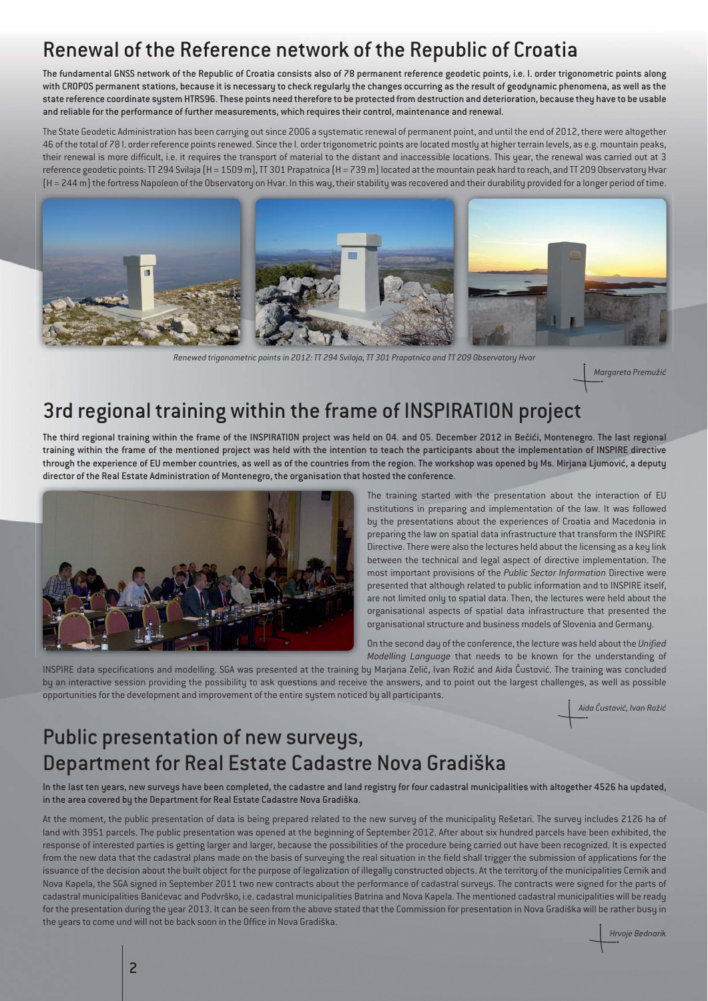# Renewal of the Reference network of the Republic of Croatia

The fundamental GNSS network of the Republic of Croatia consists also of 78 permanent reference geodetic points, i.e. I. order trigonometric points along with CROPOS permanent stations, because it is necessary to check regularly the changes occurring as the result of geodynamic phenomena, as well as the state reference coordinate system HTRS96. These points need therefore to be protected from destruction and deterioration, because they have to be usable and reliable for the performance of further measurements, which requires their control, maintenance and renewal.

The State Geodetic Administration has been carrying out since 2006 a systematic renewal of permanent point, and until the end of 2012, there were altogether 46 of the total of 78 I. order reference points renewed. Since the I. order trigonometric points are located mostly at higher terrain levels, as e.g. mountain peaks, their renewal is more difficult, i.e. it requires the transport of material to the distant and inaccessible locations. This year, the renewal was carried out at 3 reference geodetic points: TT 294 Svilaja (H = 1509 m), TT 301 Prapatnica (H = 739 m) located at the mountain peak hard to reach, and TT 209 Observatory Hvar (H = 244 m) the fortress Napoleon of the Observatory on Hvar. In this way, their stability was recovered and their durability provided for a longer period of time.



*Renewed trigonometric points in 2012: TT 294 Svilaja, TT 301 Prapatnica and TT 209 Observatory Hvar* 

*Margareta Premužić*

### 3rd regional training within the frame of INSPIRATION project

The third regional training within the frame of the INSPIRATION project was held on 04. and 05. December 2012 in Bečići, Montenegro. The last regional training within the frame of the mentioned project was held with the intention to teach the participants about the implementation of INSPIRE directive through the experience of EU member countries, as well as of the countries from the region. The workshop was opened by Ms. Mirjana Ljumović, a deputy director of the Real Estate Administration of Montenegro, the organisation that hosted the conference.



The training started with the presentation about the interaction of EU institutions in preparing and implementation of the law. It was followed by the presentations about the experiences of Croatia and Macedonia in preparing the law on spatial data infrastructure that transform the INSPIRE Directive. There were also the lectures held about the licensing as a key link between the technical and legal aspect of directive implementation. The most important provisions of the *Public Sector Information* Directive were presented that although related to public information and to INSPIRE itself, are not limited only to spatial data. Then, the lectures were held about the organisational aspects of spatial data infrastructure that presented the organisational structure and business models of Slovenia and Germany.

On the second day of the conference, the lecture was held about the *Unified Modelling Language* that needs to be known for the understanding of

INSPIRE data specifications and modelling. SGA was presented at the training by Marjana Zelić, Ivan Rožić and Aida Čustović. The training was concluded by an interactive session providing the possibility to ask questions and receive the answers, and to point out the largest challenges, as well as possible opportunities for the development and improvement of the entire system noticed by all participants.

*Aida Čustović, Ivan Rožić*

### Public presentation of new surveys, Department for Real Estate Cadastre Nova Gradiška

In the last ten years, new surveys have been completed, the cadastre and land registry for four cadastral municipalities with altogether 4526 ha updated, in the area covered by the Department for Real Estate Cadastre Nova Gradiška.

At the moment, the public presentation of data is being prepared related to the new survey of the municipality Rešetari. The survey includes 2126 ha of land with 3951 parcels. The public presentation was opened at the beginning of September 2012. After about six hundred parcels have been exhibited, the response of interested parties is getting larger and larger, because the possibilities of the procedure being carried out have been recognized. It is expected from the new data that the cadastral plans made on the basis of surveying the real situation in the field shall trigger the submission of applications for the issuance of the decision about the built object for the purpose of legalization of illegally constructed objects. At the territory of the municipalities Cernik and Nova Kapela, the SGA signed in September 2011 two new contracts about the performance of cadastral surveys. The contracts were signed for the parts of cadastral municipalities Banićevac and Podvrško, i.e. cadastral municipalities Batrina and Nova Kapela. The mentioned cadastral municipalities will be ready for the presentation during the year 2013. It can be seen from the above stated that the Commission for presentation in Nova Gradiška will be rather busy in the years to come und will not be back soon in the Office in Nova Gradiška.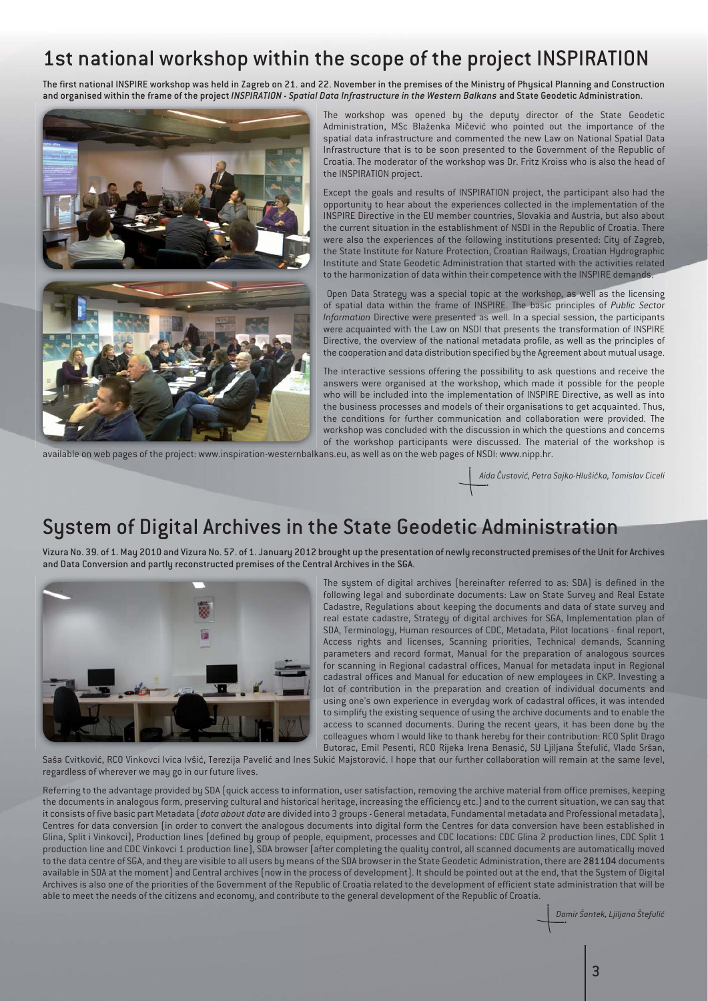# 1st national workshop within the scope of the project INSPIRATION

The first national INSPIRE workshop was held in Zagreb on 21. and 22. November in the premises of the Ministry of Physical Planning and Construction and organised within the frame of the project *INSPIRATION - Spatial Data Infrastructure in the Western Balkans* and State Geodetic Administration.



The workshop was opened by the deputy director of the State Geodetic Administration, MSc Blaženka Mičević who pointed out the importance of the spatial data infrastructure and commented the new Law on National Spatial Data Infrastructure that is to be soon presented to the Government of the Republic of Croatia. The moderator of the workshop was Dr. Fritz Kroiss who is also the head of the INSPIRATION project.

Except the goals and results of INSPIRATION project, the participant also had the opportunity to hear about the experiences collected in the implementation of the INSPIRE Directive in the EU member countries, Slovakia and Austria, but also about the current situation in the establishment of NSDI in the Republic of Croatia. There were also the experiences of the following institutions presented: City of Zagreb, the State Institute for Nature Protection, Croatian Railways, Croatian Hydrographic Institute and State Geodetic Administration that started with the activities related to the harmonization of data within their competence with the INSPIRE demands.

 Open Data Strategy was a special topic at the workshop, as well as the licensing of spatial data within the frame of INSPIRE. The basic principles of *Public Sector Information* Directive were presented as well. In a special session, the participants were acquainted with the Law on NSDI that presents the transformation of INSPIRE Directive, the overview of the national metadata profile, as well as the principles of the cooperation and data distribution specified by the Agreement about mutual usage.

The interactive sessions offering the possibility to ask questions and receive the answers were organised at the workshop, which made it possible for the people who will be included into the implementation of INSPIRE Directive, as well as into the business processes and models of their organisations to get acquainted. Thus, the conditions for further communication and collaboration were provided. The workshop was concluded with the discussion in which the questions and concerns of the workshop participants were discussed. The material of the workshop is

available on web pages of the project: www.inspiration-westernbalkans.eu, as well as on the web pages of NSDI: www.nipp.hr.

*Aida Čustović, Petra Sajko-Hlušička, Tomislav Ciceli*

#### System of Digital Archives in the State Geodetic Administration

Vizura No. 39. of 1. May 2010 and Vizura No. 57. of 1. January 2012 brought up the presentation of newly reconstructed premises of the Unit for Archives and Data Conversion and partly reconstructed premises of the Central Archives in the SGA.



The system of digital archives (hereinafter referred to as: SDA) is defined in the following legal and subordinate documents: Law on State Survey and Real Estate Cadastre, Regulations about keeping the documents and data of state survey and real estate cadastre, Strategy of digital archives for SGA, Implementation plan of SDA, Terminology, Human resources of CDC, Metadata, Pilot locations - final report, Access rights and licenses, Scanning priorities, Technical demands, Scanning parameters and record format, Manual for the preparation of analogous sources for scanning in Regional cadastral offices, Manual for metadata input in Regional cadastral offices and Manual for education of new employees in CKP. Investing a lot of contribution in the preparation and creation of individual documents and using one's own experience in everyday work of cadastral offices, it was intended to simplify the existing sequence of using the archive documents and to enable the access to scanned documents. During the recent years, it has been done by the colleagues whom I would like to thank hereby for their contribution: RCO Split Drago Butorac, Emil Pesenti, RCO Rijeka Irena Benasić, SU Ljiljana Štefulić, Vlado Sršan,

Saša Cvitković, RCO Vinkovci Ivica Ivšić, Terezija Pavelić and Ines Sukić Majstorović. I hope that our further collaboration will remain at the same level, regardless of wherever we may go in our future lives.

Referring to the advantage provided by SDA (quick access to information, user satisfaction, removing the archive material from office premises, keeping the documents in analogous form, preserving cultural and historical heritage, increasing the efficiency etc.) and to the current situation, we can say that it consists of five basic part Metadata (*data about data* are divided into 3 groups - General metadata, Fundamental metadata and Professional metadata), Centres for data conversion (in order to convert the analogous documents into digital form the Centres for data conversion have been established in Glina, Split i Vinkovci), Production lines (defined by group of people, equipment, processes and CDC locations: CDC Glina 2 production lines, CDC Split 1 production line and CDC Vinkovci 1 production line), SDA browser (after completing the quality control, all scanned documents are automatically moved to the data centre of SGA, and they are visible to all users by means of the SDA browser in the State Geodetic Administration, there are 281104 documents available in SDA at the moment) and Central archives (now in the process of development). It should be pointed out at the end, that the System of Digital Archives is also one of the priorities of the Government of the Republic of Croatia related to the development of efficient state administration that will be able to meet the needs of the citizens and economy, and contribute to the general development of the Republic of Croatia.

*Damir Šantek, Ljiljana Štefulić*